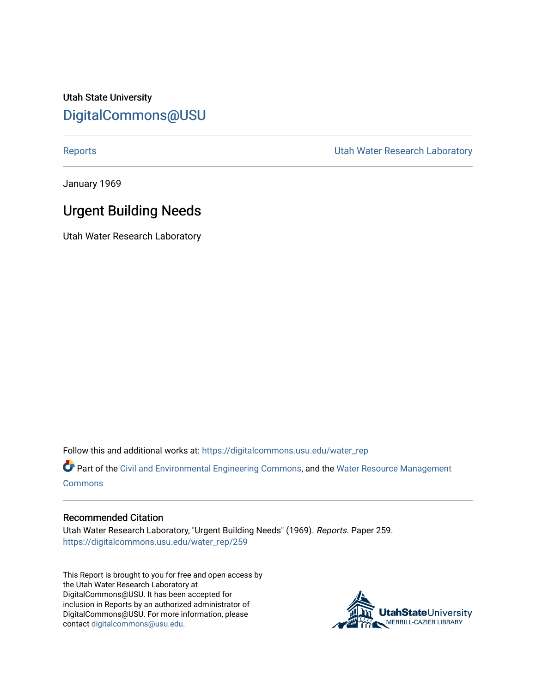Utah State University [DigitalCommons@USU](https://digitalcommons.usu.edu/)

[Reports](https://digitalcommons.usu.edu/water_rep) **National Community Community** Channel Community Utah Water Research Laboratory

January 1969

# Urgent Building Needs

Utah Water Research Laboratory

Follow this and additional works at: [https://digitalcommons.usu.edu/water\\_rep](https://digitalcommons.usu.edu/water_rep?utm_source=digitalcommons.usu.edu%2Fwater_rep%2F259&utm_medium=PDF&utm_campaign=PDFCoverPages) 

Part of the [Civil and Environmental Engineering Commons](http://network.bepress.com/hgg/discipline/251?utm_source=digitalcommons.usu.edu%2Fwater_rep%2F259&utm_medium=PDF&utm_campaign=PDFCoverPages), and the [Water Resource Management](http://network.bepress.com/hgg/discipline/1057?utm_source=digitalcommons.usu.edu%2Fwater_rep%2F259&utm_medium=PDF&utm_campaign=PDFCoverPages) **[Commons](http://network.bepress.com/hgg/discipline/1057?utm_source=digitalcommons.usu.edu%2Fwater_rep%2F259&utm_medium=PDF&utm_campaign=PDFCoverPages)** 

### Recommended Citation

Utah Water Research Laboratory, "Urgent Building Needs" (1969). Reports. Paper 259. [https://digitalcommons.usu.edu/water\\_rep/259](https://digitalcommons.usu.edu/water_rep/259?utm_source=digitalcommons.usu.edu%2Fwater_rep%2F259&utm_medium=PDF&utm_campaign=PDFCoverPages)

This Report is brought to you for free and open access by the Utah Water Research Laboratory at DigitalCommons@USU. It has been accepted for inclusion in Reports by an authorized administrator of DigitalCommons@USU. For more information, please contact [digitalcommons@usu.edu](mailto:digitalcommons@usu.edu).

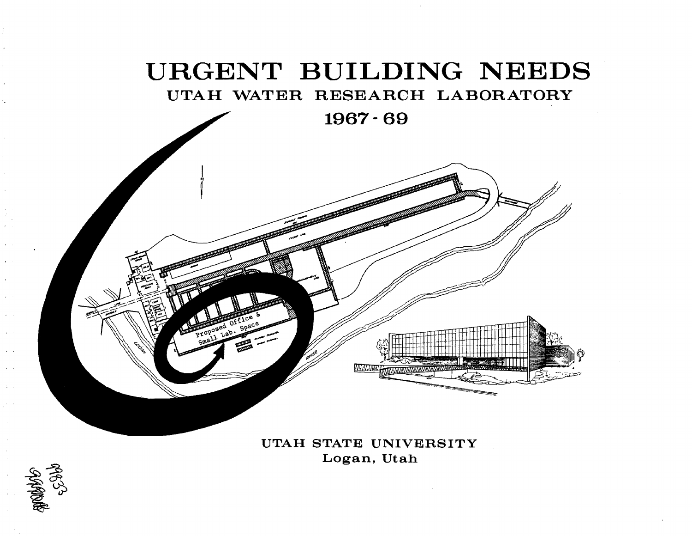# URGENT BUILDING NEEDS

UTAH WATER RESEARCH LABORATORY

1967- 69

UTAH STATE UNIVERSITY Logan, Utah

WWW

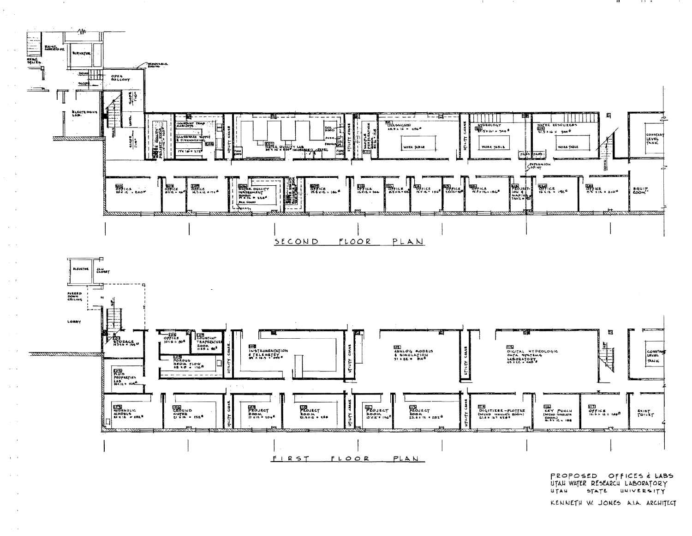

 $P$ ROPOSED OF FICES  $4$  LABS UTAU WATER RESEARCU LABORATORY UTAH STATE UNIVERSITY

lit

KENNETH W. JONES A.LA. ARCHITECT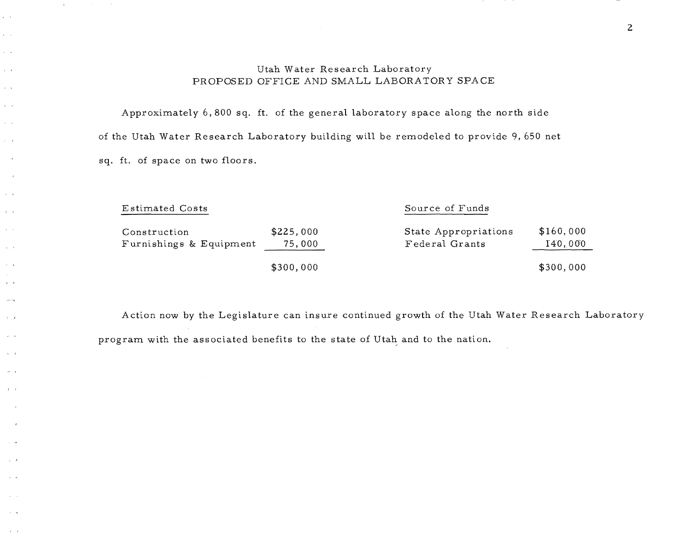## Utah Water Research Laboratory PROPOSED OFFICE AND SMALL LABORATORY SPACE

Approximately 6,800 sq. ft. of the general laboratory space along the north side of the Utah Water Research Laboratory building will be remodeled to provide 9,650 net sq. ft. of space on two floors.

 $\sim 10^{-1}$ 

 $\mathbf{1}$  .

 $\omega = \infty$ 

 $\mathbf{x} = \mathbf{y}$  $\lambda=0$ 

 $\chi = \chi$ 

 $\alpha=\alpha$ 

 $\chi=\chi$  $\tau \rightarrow$ 

 $\rightarrow$   $\rightarrow$   $\rightarrow$ 

 $\sim$  $\overline{ }$ 

 $\lambda = \lambda$ 

 $\bar{\lambda}=1$  $\alpha$  ,  $\beta$ 

 $\mathbf{v} = \mathbf{z}$ 

 $\sim$   $\alpha$ 

 $4 - 1$  $\mu\to\gamma\gamma$ 

 $\lambda_{\rm{max}}$ 

 $\hat{z}^{(i)}$  , a

 $\chi\equiv t$ 

 $\tilde{\phi}=\tilde{\chi}$ 

 $\mathbf{f} = \mathbf{f}$ 

 $\Delta_{\rm{eff}}=J$  $\sim$   $\sim$ 

 $\sim$  1  $\sim$ 

 $\Delta\sim 10$ 

| <b>Estimated Costs</b>                  |                     | Source of Funds                        |                      |  |
|-----------------------------------------|---------------------|----------------------------------------|----------------------|--|
| Construction<br>Furnishings & Equipment | \$225,000<br>75,000 | State Appropriations<br>Federal Grants | \$160,000<br>140,000 |  |
|                                         | \$300,000           |                                        | \$300,000            |  |

Action now by the Legislature can insure continued growth of the Utah Water Research Laboratory program with the associated benefits to the state of Utah and to the nation.

2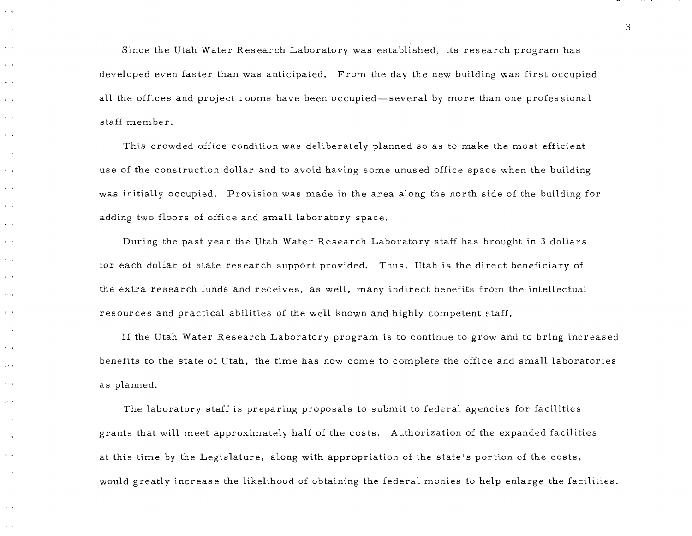Since the Utah Water Research Laboratory was established, its research program has developed even faster than was anticipated. From the day the new building was first occupied all the offices and project 1 ooms have been occupied—several by more than one professional staff member.

ساب

 $\sim$   $-1$ 

 $\sim$   $\sim$ 

 $\epsilon = \epsilon$  $\mathbf{r}$ 

 $\lambda$  $\Delta \sim 10^4$ 

 $\lambda$  .  $\lambda$  $\sim$ 

 $\mathbf{A}$   $\mathbf{A}$  $\ldots$ 

 $\Delta = 1$  $\mathbf{r}_1 = \mathbf{r}_2$ 

 $\chi\to\chi$ 

 $\mathbf{x}=\mathbf{y} \mathbf{x}$ 

 $\lambda=1$  $\epsilon$  :  $\alpha$ 

 $\Delta \rightarrow J$ 

 $\alpha = \infty$ 

 $\sqrt{2}$ 

 $\mathcal{L}^{\mathcal{L}}$ 

 $i = i$  $\mathcal{F}^{(1)}$  ,  $\mathcal{G}$ 

 $\mathbf{t} = \mathbf{0}$  $\sim$   $\sim$ 

 $\mathcal{L} = \mathcal{L}$ 

 $\tau = -\infty$ 

 $\mathbf{x} = -\mathbf{z}$  $\tau$  .  $\tau$ 

 $\Delta \sim 0$ 

This crowded office condition was deliberately planned so as to make the most efficient use of the construction dollar and to avoid having some unused office space when the building was initially occupied. Provision was made in the area along the north side of the building for adding two floors of office and small laboratory space.

During the past year the Utah Water Research Laboratory staff has brought in 3 dollars for each dollar of state research support provided. Thus, Utah is the direct beneficiary of the extra research funds and receives, as well, many indirect benefits from the intellectual resources and practical abilities of the well known and highly competent staff.

If the Utah Water Research Laboratory program is to continue to grow and to bring increased benefits to the state of Utah, the time has now come to complete the office and small laboratories as planned.

The laboratory staff is preparing proposals to submit to federal agencies for facilities grants that will meet approximately half of the costs. Authorization of the expanded facilities at this time by the Legislature, along with appropriation of the state's portion of the costs, would greatly increase the likelihood of obtaining the federal monies to help enlarge the facilities.

:3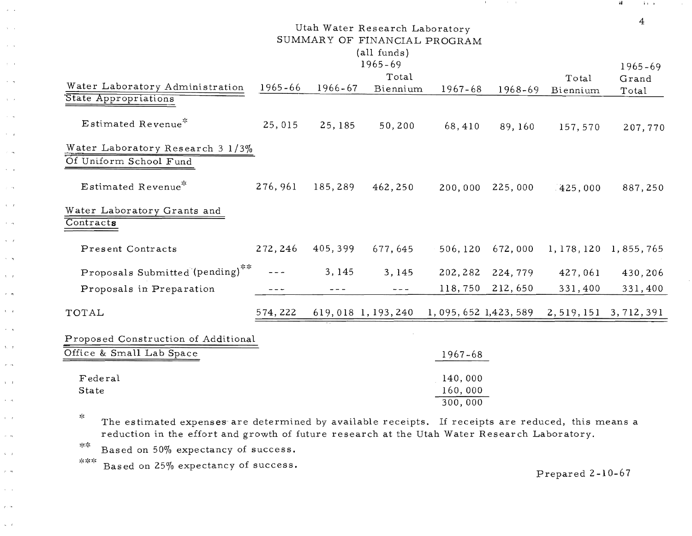| Utah Water Research Laboratory<br>SUMMARY OF FINANCIAL PROGRAM<br>(all funds) |             |                        |                   |                         |                   |             | 4                       |
|-------------------------------------------------------------------------------|-------------|------------------------|-------------------|-------------------------|-------------------|-------------|-------------------------|
|                                                                               |             |                        | $1965 - 69$       |                         |                   |             | $1965 - 69$             |
|                                                                               |             |                        | Total             |                         |                   | Total       | Grand                   |
| Water Laboratory Administration<br>State Appropriations                       | $1965 - 66$ | 1966-67                | Biennium          | 1967-68                 | 1968-69           | Biennium    | Total                   |
|                                                                               |             |                        |                   |                         |                   |             |                         |
| Estimated Revenue <sup>*</sup>                                                | 25,015      | 25, 185                | 50,200            | 68,410                  | 89,160            | 157,570     | 207,770                 |
| Water Laboratory Research 3 1/3%<br>Of Uniform School Fund                    |             |                        |                   |                         |                   |             |                         |
|                                                                               |             |                        |                   |                         |                   |             |                         |
| Estimated Revenue*                                                            | 276, 961    | 185,289                | 462,250           |                         | 200,000 225,000   | 425,000     | 887,250                 |
| Water Laboratory Grants and<br>Contracts                                      |             |                        |                   |                         |                   |             |                         |
| Present Contracts                                                             | 272, 246    | 405,399                | 677,645           | 506, 120                | 672,000           | 1, 178, 120 | 1,855,765               |
| Proposals Submitted (pending)**                                               |             | 3, 145                 | 3,145             |                         | 202, 282 224, 779 | 427,061     | 430,206                 |
| Proposals in Preparation                                                      | $- - -$     | $\omega$ $\sim$ $\sim$ | $\sim$ $ -$       |                         | 118,750 212,650   | 331,400     | 331,400                 |
| TOTAL                                                                         | 574, 222    |                        | 619,018 1,193,240 | 1, 095, 652 1, 423, 589 |                   |             | 2, 519, 151 3, 712, 391 |
| Proposed Construction of Additional                                           |             |                        |                   |                         |                   |             |                         |
| Office & Small Lab Space                                                      |             |                        |                   | 1967-68                 |                   |             |                         |
| Federal                                                                       |             |                        |                   | 140,000                 |                   |             |                         |
| State                                                                         |             |                        |                   | 160,000                 |                   |             |                         |
|                                                                               |             |                        |                   | 300,000                 |                   |             |                         |

The estimated expenses are determined by available receipts. If receipts are reduced, this means a reduction in the effort and growth of future research at the Utah Water Research Laboratory.

\*\* Based on 50% expectancy of success.

 $\sim$   $\sim$ 

 $\alpha = 1$ 

 $\lambda = \pi$ 

 $\lambda=1$ 

 $\sim$   $\sim$ 

 $\Delta \sim 0.1$  $\sim$   $\sim$ 

 $\sim$   $\sim$   $\mu$ 

 $\sim$   $\sim$ 

 $\sim$   $\alpha$ 

 $\sim$   $\sim$ 

 $\lambda = \lambda$ 

 $\tau$  .  $\omega_{\rm t}$ 

 $\chi=\chi$ 

 $\sim$   $\sim$ 

 $\lambda \rightarrow t$ 

 $\epsilon$  ,  $\epsilon$  $\chi=\chi$ 

 $\sim$   $\gamma$  $\Lambda_{\rm c} = 1$  $\mu$  ,  $\alpha$ 

 $\lambda=1$ 

 $\epsilon = \epsilon_0$ 

 $\mathbf{1}=\mathbf{1}$ 

 $\sigma$  ,  $\sigma_{\rm b}$ 

 $\mathbf{v}=\mathbf{r}$ 

 $\tau$  /s.

 $\kappa = 1$  $\gamma \in [9]$ 

 $\infty$  ,  $\ell$ 

 $\mathbf{z}_\mathrm{F}^{\mathrm{L}}$ 

 $***$  Based on 25% expectancy of success.

Prepared 2-10-67

,J ., ,

 $\mathcal{A}^{\pm}$ 

**Contractor** 

and the state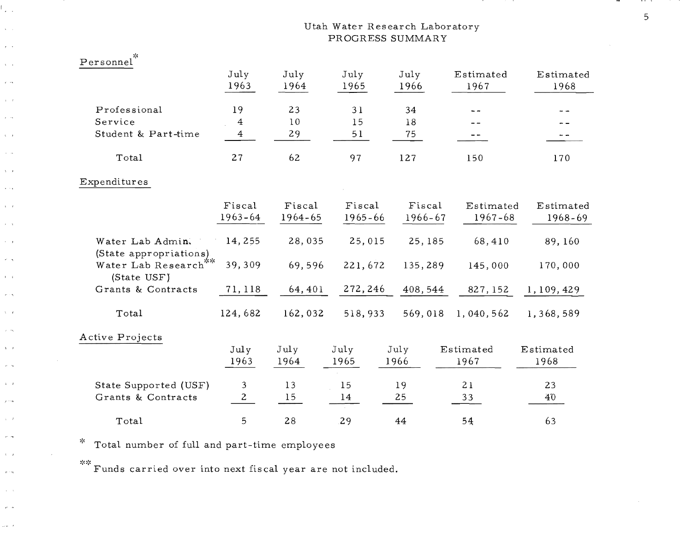# Utah Water Research Laboratory PROGRESS SUMMARY

| Personnel                                  |                |              |              |              |                   |                   |
|--------------------------------------------|----------------|--------------|--------------|--------------|-------------------|-------------------|
|                                            | July<br>1963   | July<br>1964 | July<br>1965 | July<br>1966 | Estimated<br>1967 | Estimated<br>1968 |
| Professional                               | 19             | 23           | 31           | 34           |                   |                   |
| Service                                    | $\bf{4}$       | 10           | 15           | 18           |                   |                   |
| Student & Part-time                        | $\overline{4}$ | 29           | 51           | 75           |                   | - -               |
| Total                                      | 27             | 62           | 97           | 127          | 150               | 170               |
| Expenditures                               |                |              |              |              |                   |                   |
|                                            | Fiscal         | Fiscal       | Fiscal       | Fiscal       | Estimated         | Estimated         |
|                                            | $1963 - 64$    | 1964-65      | $1965 - 66$  | 1966-67      | $1967 - 68$       | 1968-69           |
| Water Lab Admin.<br>(State appropriations) | 14,255         | 28,035       | 25,015       | 25, 185      | 68,410            | 89, 160           |
| Water Lab Research<br>(State USF)          | 39,309         | 69,596       | 221,672      | 135,289      | 145,000           | 170,000           |
| Grants & Contracts                         | 71, 118        | 64,401       | 272, 246     | 408,544      | 827, 152          | 1,109,429         |
| Total                                      | 124,682        | 162,032      | 518,933      | 569,018      | 1,040,562         | 1,368,589         |
| Active Projects                            |                |              |              |              |                   |                   |
|                                            | July           | July         | July         | July         | Estimated         | Estimated         |
|                                            | 1963           | 1964         | 1965         | 1966         | 1967              | 1968              |
| State Supported (USF)                      | 3              | 13           | 15           | 19           | 21                | 23                |
| Grants & Contracts                         | $\overline{2}$ | 15           | 14           | 25           | 33                | 40                |
| Total                                      | 5              | 28           | 29           | 44           | 54                | 63                |

 $*$  Total number of full and part-time employees

f., .,

 $\mathbf{r} = \mathbf{r}$ 

 $\epsilon$  .

 $\chi^2 \to \chi^2$ 

 $\hat{r}$  and

 $\mathbf{r}=\mathbf{r}$  $\epsilon \rightarrow \infty$ 

 $\lambda=1$  $\sigma = \sigma_{\rm th}$ 

 $\Delta \sim 0.3$  $\alpha \rightarrow \alpha$ 

 $\mathbf{t}=\mathbf{r}$  $\hat{\boldsymbol{\delta}} = \hat{\boldsymbol{\delta}}$  $\tau = \bar{\tau}$ 

 $\kappa = \eta$ 

 $\mathbf{r}=\mathbf{r}$ 

 $\sigma\geq \sigma$  $\Delta \sim 0.4$ 

 $\tau = -\sqrt{\tau}$ 

 $\chi=\chi$ 

 $\mu \rightarrow \mu$ 

 $\lambda = \beta$ 

 $\chi\sim$  14

 $\Delta\gg J$  $\sigma\ll\sigma$ 

 $\mathbf{t}=\mathbf{r}$ 

 $\sigma \geq m$ 

 $\mathbf{x} = \mathbf{x}$  $\vec{P}^{k}$  as

 $\omega \neq -t$ 

\*\* **Funds carried over into next fiscal year are not included.** 

. . . . 5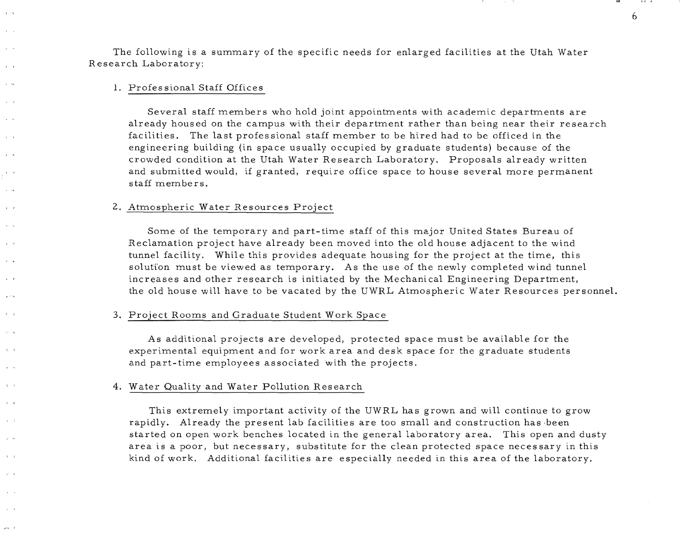The following is a summary of the specific needs for enlarged facilities at the Utah Water Research Laboratory:

#### 1. Profes sional Staff Offices

 $r - n$  $\mathbf{v}$ 

 $\mathbf{a} = \mathbf{a}$ 

 $\sim$   $\mathbf{r}$ 

 $\lambda = 1$ 

 $\mathbf{r}$ 

 $\mathbf{A} = \mathbf{A}$ 

 $\alpha \rightarrow \infty$ 

 $\mathbf{v}$ 

 $\alpha$  ,  $\beta$ 

 $x = t$ 

 $\sigma = -\sigma_0$  $\mathbf{t}$ 

 $\mathfrak{t}_1=\mathfrak{t}$ 

 $\mathbf{t}_i = t$ 

 $2 - 19$  $\lambda = i$ 

 $\mu \rightarrow \infty$ 

 $\lambda = I$ 

 $\mathbf{p}^{\star}=\mathbf{q}$ 

 $\mathbf{r} = \mathbf{x}$ 

 $\omega\sim -4$ 

Several staff members who hold joint appointments with academic departments are already housed on the campus with their department rather than being near their research facilities. The last professional staff member to be hired had to be officed in the engineering building (in space usually occupied by graduate students) because of the crowded condition at the Utah Water Research Laboratory. Proposals already written and submitted would, if granted, require office space to house several more permanent staff members.

#### 2. Atmospheric Water Resources Project

Some of the temporary and part-time staff of this major United States Bureau of Reclamation project have already been moved into the old house adjacent to the wind tunnel facility. While this provides adequate housing for the project at the time, this solution must be viewed as temporary. As the use of the newly completed wind tunnel increases and other research is initiated by the Mechanical Engineering Department, the old house will have to be vacated by the UWRL Atmospheric Water Resources personnel.

#### 3. Project Rooms and Graduate Student Work Space

As additional projects are developed, protected space must be available for the experimental equipment and for work area and desk space for the graduate students and part-time employees associated with the projects.

#### 4. Water Quality and Water Pollution Research

This extremely important activity of the UWRL has grown and will continue to grow rapidly. Already the present lab facilities are too small and construction has been started on open work benches located in the general laboratory area. This open and dusty area is a poor, but necessary, substitute for the clean protected space necessary in this kind of work. Additional facilities are especially needed in this area of the laboratory.

6

IIJ